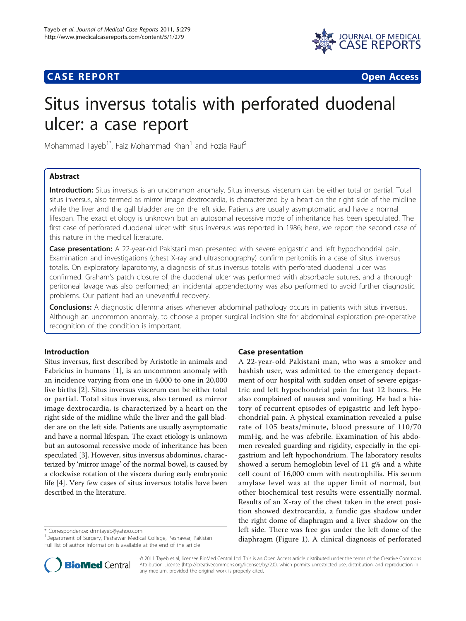# **CASE REPORT CASE REPORT CASE REPORT**



# Situs inversus totalis with perforated duodenal ulcer: a case report

Mohammad Tayeb<sup>1\*</sup>, Faiz Mohammad Khan<sup>1</sup> and Fozia Rauf<sup>2</sup>

# Abstract

Introduction: Situs inversus is an uncommon anomaly. Situs inversus viscerum can be either total or partial. Total situs inversus, also termed as mirror image dextrocardia, is characterized by a heart on the right side of the midline while the liver and the gall bladder are on the left side. Patients are usually asymptomatic and have a normal lifespan. The exact etiology is unknown but an autosomal recessive mode of inheritance has been speculated. The first case of perforated duodenal ulcer with situs inversus was reported in 1986; here, we report the second case of this nature in the medical literature.

Case presentation: A 22-year-old Pakistani man presented with severe epigastric and left hypochondrial pain. Examination and investigations (chest X-ray and ultrasonography) confirm peritonitis in a case of situs inversus totalis. On exploratory laparotomy, a diagnosis of situs inversus totalis with perforated duodenal ulcer was confirmed. Graham's patch closure of the duodenal ulcer was performed with absorbable sutures, and a thorough peritoneal lavage was also performed; an incidental appendectomy was also performed to avoid further diagnostic problems. Our patient had an uneventful recovery.

**Conclusions:** A diagnostic dilemma arises whenever abdominal pathology occurs in patients with situs inversus. Although an uncommon anomaly, to choose a proper surgical incision site for abdominal exploration pre-operative recognition of the condition is important.

# Introduction

Situs inversus, first described by Aristotle in animals and Fabricius in humans [[1\]](#page-2-0), is an uncommon anomaly with an incidence varying from one in 4,000 to one in 20,000 live births [[2](#page-2-0)]. Situs inversus viscerum can be either total or partial. Total situs inversus, also termed as mirror image dextrocardia, is characterized by a heart on the right side of the midline while the liver and the gall bladder are on the left side. Patients are usually asymptomatic and have a normal lifespan. The exact etiology is unknown but an autosomal recessive mode of inheritance has been speculated [\[3\]](#page-2-0). However, situs inversus abdominus, characterized by 'mirror image' of the normal bowel, is caused by a clockwise rotation of the viscera during early embryonic life [\[4](#page-2-0)]. Very few cases of situs inversus totalis have been described in the literature.

\* Correspondence: [drmtayeb@yahoo.com](mailto:drmtayeb@yahoo.com)

# Case presentation

A 22-year-old Pakistani man, who was a smoker and hashish user, was admitted to the emergency department of our hospital with sudden onset of severe epigastric and left hypochondrial pain for last 12 hours. He also complained of nausea and vomiting. He had a history of recurrent episodes of epigastric and left hypochondrial pain. A physical examination revealed a pulse rate of 105 beats/minute, blood pressure of 110/70 mmHg, and he was afebrile. Examination of his abdomen revealed guarding and rigidity, especially in the epigastrium and left hypochondrium. The laboratory results showed a serum hemoglobin level of 11 g% and a white cell count of 16,000 cmm with neutrophilia. His serum amylase level was at the upper limit of normal, but other biochemical test results were essentially normal. Results of an X-ray of the chest taken in the erect position showed dextrocardia, a fundic gas shadow under the right dome of diaphragm and a liver shadow on the left side. There was free gas under the left dome of the diaphragm (Figure [1](#page-1-0)). A clinical diagnosis of perforated



© 2011 Tayeb et al; licensee BioMed Central Ltd. This is an Open Access article distributed under the terms of the Creative Commons Attribution License [\(http://creativecommons.org/licenses/by/2.0](http://creativecommons.org/licenses/by/2.0)), which permits unrestricted use, distribution, and reproduction in any medium, provided the original work is properly cited.

<sup>&</sup>lt;sup>1</sup>Department of Surgery, Peshawar Medical College, Peshawar, Pakistan Full list of author information is available at the end of the article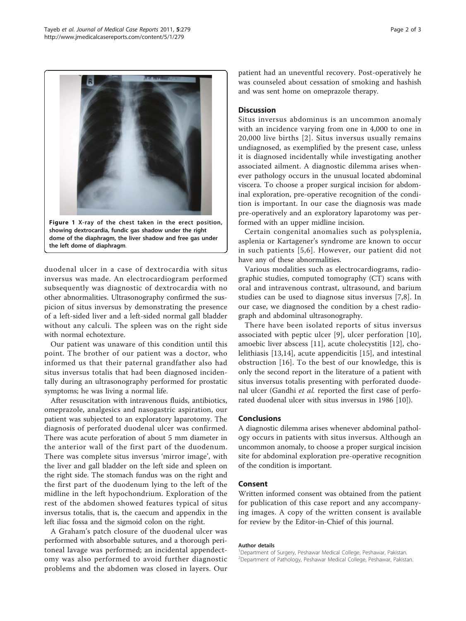<span id="page-1-0"></span>

the left dome of diaphragm.

duodenal ulcer in a case of dextrocardia with situs inversus was made. An electrocardiogram performed subsequently was diagnostic of dextrocardia with no other abnormalities. Ultrasonography confirmed the suspicion of situs inversus by demonstrating the presence of a left-sided liver and a left-sided normal gall bladder without any calculi. The spleen was on the right side with normal echotexture.

Our patient was unaware of this condition until this point. The brother of our patient was a doctor, who informed us that their paternal grandfather also had situs inversus totalis that had been diagnosed incidentally during an ultrasonography performed for prostatic symptoms; he was living a normal life.

After resuscitation with intravenous fluids, antibiotics, omeprazole, analgesics and nasogastric aspiration, our patient was subjected to an exploratory laparotomy. The diagnosis of perforated duodenal ulcer was confirmed. There was acute perforation of about 5 mm diameter in the anterior wall of the first part of the duodenum. There was complete situs inversus 'mirror image', with the liver and gall bladder on the left side and spleen on the right side. The stomach fundus was on the right and the first part of the duodenum lying to the left of the midline in the left hypochondrium. Exploration of the rest of the abdomen showed features typical of situs inversus totalis, that is, the caecum and appendix in the left iliac fossa and the sigmoid colon on the right.

A Graham's patch closure of the duodenal ulcer was performed with absorbable sutures, and a thorough peritoneal lavage was performed; an incidental appendectomy was also performed to avoid further diagnostic problems and the abdomen was closed in layers. Our patient had an uneventful recovery. Post-operatively he was counseled about cessation of smoking and hashish and was sent home on omeprazole therapy.

### **Discussion**

Situs inversus abdominus is an uncommon anomaly with an incidence varying from one in 4,000 to one in 20,000 live births [[2\]](#page-2-0). Situs inversus usually remains undiagnosed, as exemplified by the present case, unless it is diagnosed incidentally while investigating another associated ailment. A diagnostic dilemma arises whenever pathology occurs in the unusual located abdominal viscera. To choose a proper surgical incision for abdominal exploration, pre-operative recognition of the condition is important. In our case the diagnosis was made pre-operatively and an exploratory laparotomy was performed with an upper midline incision.

Certain congenital anomalies such as polysplenia, asplenia or Kartagener's syndrome are known to occur in such patients [[5](#page-2-0),[6](#page-2-0)]. However, our patient did not have any of these abnormalities.

Various modalities such as electrocardiograms, radiographic studies, computed tomography (CT) scans with oral and intravenous contrast, ultrasound, and barium studies can be used to diagnose situs inversus [\[7](#page-2-0),[8\]](#page-2-0). In our case, we diagnosed the condition by a chest radiograph and abdominal ultrasonography.

There have been isolated reports of situs inversus associated with peptic ulcer [[9](#page-2-0)], ulcer perforation [[10](#page-2-0)], amoebic liver abscess [\[11](#page-2-0)], acute cholecystitis [\[12](#page-2-0)], cholelithiasis [[13,14](#page-2-0)], acute appendicitis [[15\]](#page-2-0), and intestinal obstruction [\[16](#page-2-0)]. To the best of our knowledge, this is only the second report in the literature of a patient with situs inversus totalis presenting with perforated duodenal ulcer (Gandhi et al. reported the first case of perforated duodenal ulcer with situs inversus in 1986 [\[10](#page-2-0)]).

## Conclusions

A diagnostic dilemma arises whenever abdominal pathology occurs in patients with situs inversus. Although an uncommon anomaly, to choose a proper surgical incision site for abdominal exploration pre-operative recognition of the condition is important.

#### Consent

Written informed consent was obtained from the patient for publication of this case report and any accompanying images. A copy of the written consent is available for review by the Editor-in-Chief of this journal.

#### Author details

<sup>1</sup>Department of Surgery, Peshawar Medical College, Peshawar, Pakistan. 2 Department of Pathology, Peshawar Medical College, Peshawar, Pakistan.